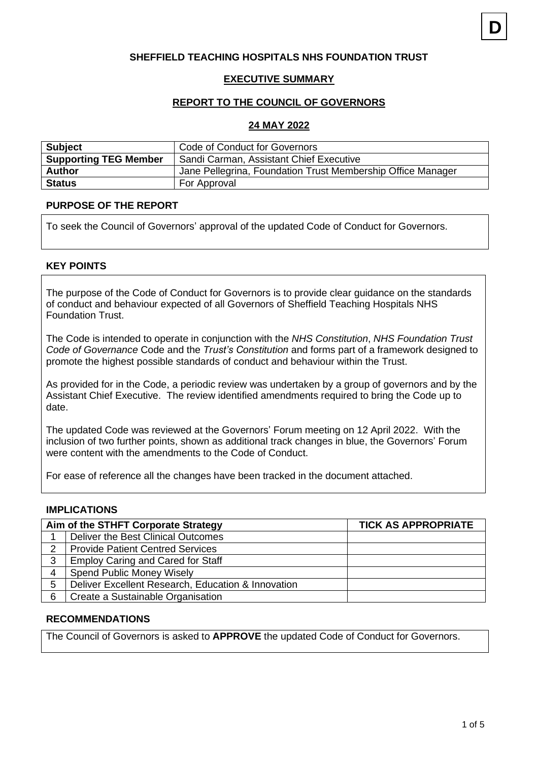### **SHEFFIELD TEACHING HOSPITALS NHS FOUNDATION TRUST**

#### **EXECUTIVE SUMMARY**

#### **REPORT TO THE COUNCIL OF GOVERNORS**

#### **24 MAY 2022**

| <b>Subject</b>               | Code of Conduct for Governors                               |  |
|------------------------------|-------------------------------------------------------------|--|
| <b>Supporting TEG Member</b> | Sandi Carman, Assistant Chief Executive                     |  |
| <b>Author</b>                | Jane Pellegrina, Foundation Trust Membership Office Manager |  |
| <b>Status</b>                | For Approval                                                |  |

### **PURPOSE OF THE REPORT**

To seek the Council of Governors' approval of the updated Code of Conduct for Governors.

### **KEY POINTS**

The purpose of the Code of Conduct for Governors is to provide clear guidance on the standards of conduct and behaviour expected of all Governors of Sheffield Teaching Hospitals NHS Foundation Trust.

The Code is intended to operate in conjunction with the *NHS Constitution*, *NHS Foundation Trust Code of Governance* Code and the *Trust's Constitution* and forms part of a framework designed to promote the highest possible standards of conduct and behaviour within the Trust.

As provided for in the Code, a periodic review was undertaken by a group of governors and by the Assistant Chief Executive. The review identified amendments required to bring the Code up to date.

The updated Code was reviewed at the Governors' Forum meeting on 12 April 2022. With the inclusion of two further points, shown as additional track changes in blue, the Governors' Forum were content with the amendments to the Code of Conduct.

For ease of reference all the changes have been tracked in the document attached.

#### **IMPLICATIONS**

| Aim of the STHFT Corporate Strategy |                                                    | <b>TICK AS APPROPRIATE</b> |
|-------------------------------------|----------------------------------------------------|----------------------------|
|                                     | Deliver the Best Clinical Outcomes                 |                            |
| 2                                   | <b>Provide Patient Centred Services</b>            |                            |
| 3                                   | <b>Employ Caring and Cared for Staff</b>           |                            |
| 4                                   | <b>Spend Public Money Wisely</b>                   |                            |
| 5                                   | Deliver Excellent Research, Education & Innovation |                            |
| 6                                   | Create a Sustainable Organisation                  |                            |

#### **RECOMMENDATIONS**

The Council of Governors is asked to **APPROVE** the updated Code of Conduct for Governors.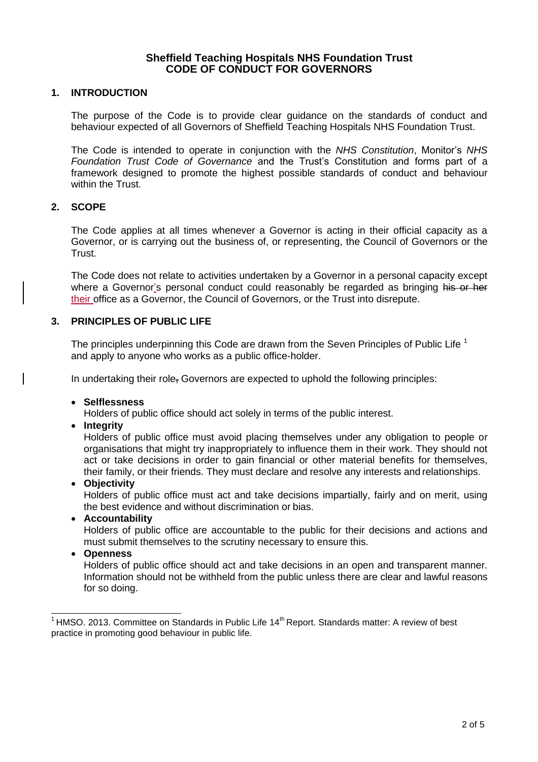### **Sheffield Teaching Hospitals NHS Foundation Trust CODE OF CONDUCT FOR GOVERNORS**

### **1. INTRODUCTION**

The purpose of the Code is to provide clear guidance on the standards of conduct and behaviour expected of all Governors of Sheffield Teaching Hospitals NHS Foundation Trust.

The Code is intended to operate in conjunction with the *NHS Constitution*, Monitor's *NHS Foundation Trust Code of Governance* and the Trust's Constitution and forms part of a framework designed to promote the highest possible standards of conduct and behaviour within the Trust.

#### **2. SCOPE**

The Code applies at all times whenever a Governor is acting in their official capacity as a Governor, or is carrying out the business of, or representing, the Council of Governors or the Trust.

The Code does not relate to activities undertaken by a Governor in a personal capacity except where a Governor's personal conduct could reasonably be regarded as bringing his or her their office as a Governor, the Council of Governors, or the Trust into disrepute.

#### **3. PRINCIPLES OF PUBLIC LIFE**

The principles underpinning this Code are drawn from the Seven Principles of Public Life  $^1$ and apply to anyone who works as a public office-holder.

In undertaking their role, Governors are expected to uphold the following principles:

• **Selflessness**

Holders of public office should act solely in terms of the public interest.

• **Integrity**

Holders of public office must avoid placing themselves under any obligation to people or organisations that might try inappropriately to influence them in their work. They should not act or take decisions in order to gain financial or other material benefits for themselves, their family, or their friends. They must declare and resolve any interests and relationships.

#### • **Objectivity**

Holders of public office must act and take decisions impartially, fairly and on merit, using the best evidence and without discrimination or bias.

#### • **Accountability**

Holders of public office are accountable to the public for their decisions and actions and must submit themselves to the scrutiny necessary to ensure this.

• **Openness**

Holders of public office should act and take decisions in an open and transparent manner. Information should not be withheld from the public unless there are clear and lawful reasons for so doing.

 $1$  HMSO. 2013. Committee on Standards in Public Life 14<sup>th</sup> Report. Standards matter: A review of best practice in promoting good behaviour in public life.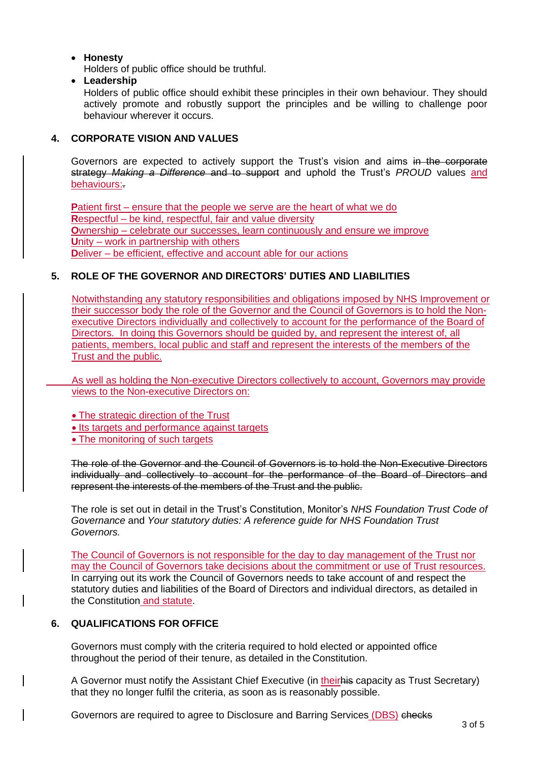### • **Honesty**

Holders of public office should be truthful.

• **Leadership**

Holders of public office should exhibit these principles in their own behaviour. They should actively promote and robustly support the principles and be willing to challenge poor behaviour wherever it occurs.

# **4. CORPORATE VISION AND VALUES**

Governors are expected to actively support the Trust's vision and aims in the corporate strategy *Making a Difference* and to support and uphold the Trust's *PROUD* values and behaviours:.

**P**atient first – ensure that the people we serve are the heart of what we do **R**espectful – be kind, respectful, fair and value diversity **O**wnership – celebrate our successes, learn continuously and ensure we improve **U**nity – work in partnership with others **Deliver** – be efficient, effective and account able for our actions

# **5. ROLE OF THE GOVERNOR AND DIRECTORS' DUTIES AND LIABILITIES**

Notwithstanding any statutory responsibilities and obligations imposed by NHS Improvement or their successor body the role of the Governor and the Council of Governors is to hold the Nonexecutive Directors individually and collectively to account for the performance of the Board of Directors. In doing this Governors should be guided by, and represent the interest of, all patients, members, local public and staff and represent the interests of the members of the Trust and the public.

As well as holding the Non-executive Directors collectively to account, Governors may provide views to the Non-executive Directors on:

• The strategic direction of the Trust

• Its targets and performance against targets

• The monitoring of such targets

The role of the Governor and the Council of Governors is to hold the Non-Executive Directors individually and collectively to account for the performance of the Board of Directors and represent the interests of the members of the Trust and the public.

The role is set out in detail in the Trust's Constitution, Monitor's *NHS Foundation Trust Code of Governance* and *Your statutory duties: A reference guide for NHS Foundation Trust Governors.*

The Council of Governors is not responsible for the day to day management of the Trust nor may the Council of Governors take decisions about the commitment or use of Trust resources. In carrying out its work the Council of Governors needs to take account of and respect the statutory duties and liabilities of the Board of Directors and individual directors, as detailed in the Constitution and statute.

### **6. QUALIFICATIONS FOR OFFICE**

Governors must comply with the criteria required to hold elected or appointed office throughout the period of their tenure, as detailed in the Constitution.

A Governor must notify the Assistant Chief Executive (in theirhis capacity as Trust Secretary) that they no longer fulfil the criteria, as soon as is reasonably possible.

Governors are required to agree to Disclosure and Barring Services (DBS) checks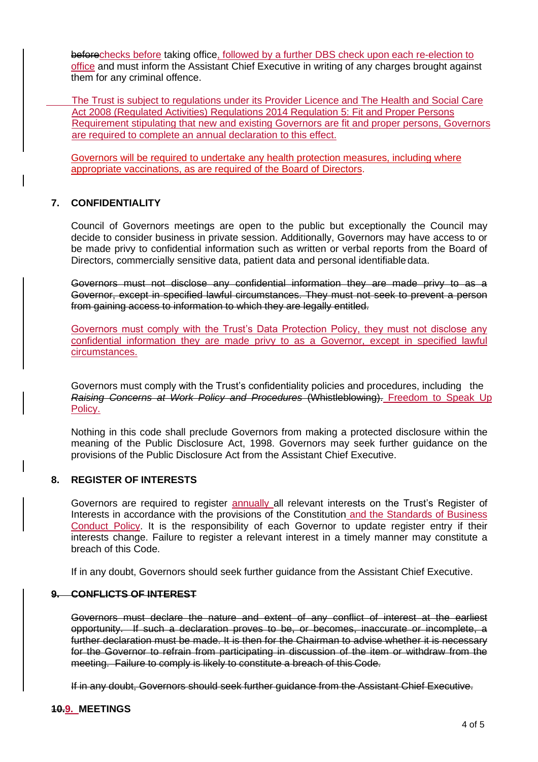beforechecks before taking office, followed by a further DBS check upon each re-election to office and must inform the Assistant Chief Executive in writing of any charges brought against them for any criminal offence.

The Trust is subject to regulations under its Provider Licence and The Health and Social Care Act 2008 (Regulated Activities) Regulations 2014 Regulation 5: Fit and Proper Persons Requirement stipulating that new and existing Governors are fit and proper persons, Governors are required to complete an annual declaration to this effect.

Governors will be required to undertake any health protection measures, including where appropriate vaccinations, as are required of the Board of Directors.

### **7. CONFIDENTIALITY**

Council of Governors meetings are open to the public but exceptionally the Council may decide to consider business in private session. Additionally, Governors may have access to or be made privy to confidential information such as written or verbal reports from the Board of Directors, commercially sensitive data, patient data and personal identifiable data.

Governors must not disclose any confidential information they are made privy to as a Governor, except in specified lawful circumstances. They must not seek to prevent a person from gaining access to information to which they are legally entitled.

Governors must comply with the Trust's Data Protection Policy, they must not disclose any confidential information they are made privy to as a Governor, except in specified lawful circumstances.

Governors must comply with the Trust's confidentiality policies and procedures, including the *Raising Concerns at Work Policy and Procedures* (Whistleblowing). Freedom to Speak Up Policy.

Nothing in this code shall preclude Governors from making a protected disclosure within the meaning of the Public Disclosure Act, 1998. Governors may seek further guidance on the provisions of the Public Disclosure Act from the Assistant Chief Executive.

### **8. REGISTER OF INTERESTS**

Governors are required to register annually all relevant interests on the Trust's Register of Interests in accordance with the provisions of the Constitution and the Standards of Business Conduct Policy. It is the responsibility of each Governor to update register entry if their interests change. Failure to register a relevant interest in a timely manner may constitute a breach of this Code.

If in any doubt, Governors should seek further guidance from the Assistant Chief Executive.

### **9. CONFLICTS OF INTEREST**

Governors must declare the nature and extent of any conflict of interest at the earliest opportunity. If such a declaration proves to be, or becomes, inaccurate or incomplete, a further declaration must be made. It is then for the Chairman to advise whether it is necessary for the Governor to refrain from participating in discussion of the item or withdraw from the meeting. Failure to comply is likely to constitute a breach of this Code.

If in any doubt, Governors should seek further guidance from the Assistant Chief Executive.

#### **10.9. MEETINGS**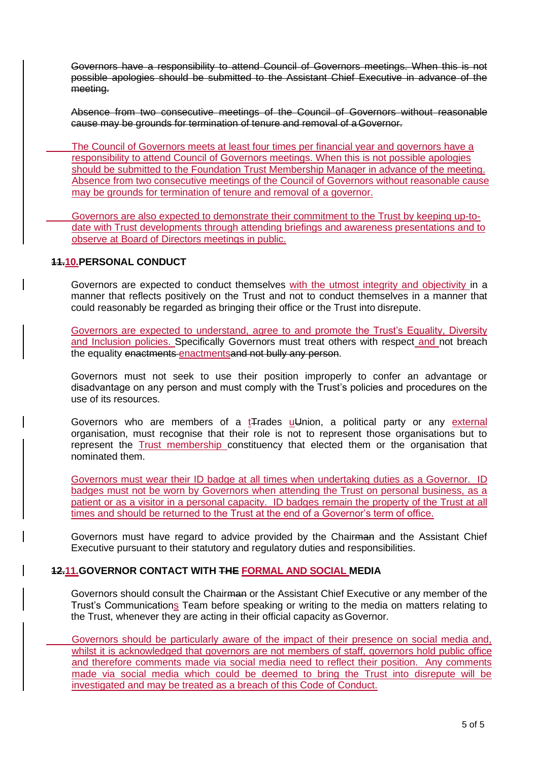Governors have a responsibility to attend Council of Governors meetings. When this is not possible apologies should be submitted to the Assistant Chief Executive in advance of the meeting.

Absence from two consecutive meetings of the Council of Governors without reasonable cause may be grounds for termination of tenure and removal of aGovernor.

The Council of Governors meets at least four times per financial year and governors have a responsibility to attend Council of Governors meetings. When this is not possible apologies should be submitted to the Foundation Trust Membership Manager in advance of the meeting. Absence from two consecutive meetings of the Council of Governors without reasonable cause may be grounds for termination of tenure and removal of a governor.

Governors are also expected to demonstrate their commitment to the Trust by keeping up-todate with Trust developments through attending briefings and awareness presentations and to observe at Board of Directors meetings in public.

### **11.10.PERSONAL CONDUCT**

Governors are expected to conduct themselves with the utmost integrity and objectivity in a manner that reflects positively on the Trust and not to conduct themselves in a manner that could reasonably be regarded as bringing their office or the Trust into disrepute.

Governors are expected to understand, agree to and promote the Trust's Equality, Diversity and Inclusion policies. Specifically Governors must treat others with respect and not breach the equality enactments enactmentsand not bully any person.

Governors must not seek to use their position improperly to confer an advantage or disadvantage on any person and must comply with the Trust's policies and procedures on the use of its resources.

Governors who are members of a  $t$ Trades  $u$ Union, a political party or any external organisation, must recognise that their role is not to represent those organisations but to represent the Trust membership constituency that elected them or the organisation that nominated them.

Governors must wear their ID badge at all times when undertaking duties as a Governor. ID badges must not be worn by Governors when attending the Trust on personal business, as a patient or as a visitor in a personal capacity. ID badges remain the property of the Trust at all times and should be returned to the Trust at the end of a Governor's term of office.

Governors must have regard to advice provided by the Chairman and the Assistant Chief Executive pursuant to their statutory and regulatory duties and responsibilities.

### **12.11.GOVERNOR CONTACT WITH THE FORMAL AND SOCIAL MEDIA**

Governors should consult the Chairman or the Assistant Chief Executive or any member of the Trust's Communications Team before speaking or writing to the media on matters relating to the Trust, whenever they are acting in their official capacity asGovernor.

Governors should be particularly aware of the impact of their presence on social media and, whilst it is acknowledged that governors are not members of staff, governors hold public office and therefore comments made via social media need to reflect their position. Any comments made via social media which could be deemed to bring the Trust into disrepute will be investigated and may be treated as a breach of this Code of Conduct.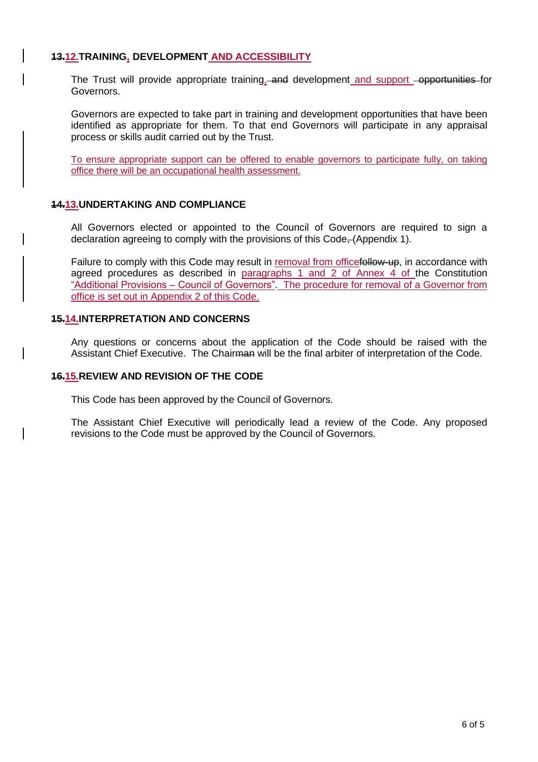### **13.12.TRAINING, DEVELOPMENT AND ACCESSIBILITY**

The Trust will provide appropriate training, and development and support opportunities for Governors.

Governors are expected to take part in training and development opportunities that have been identified as appropriate for them. To that end Governors will participate in any appraisal process or skills audit carried out by the Trust.

To ensure appropriate support can be offered to enable governors to participate fully, on taking office there will be an occupational health assessment.

### **14.13.UNDERTAKING AND COMPLIANCE**

All Governors elected or appointed to the Council of Governors are required to sign a declaration agreeing to comply with the provisions of this Code, (Appendix 1).

Failure to comply with this Code may result in removal from officefollow-up, in accordance with agreed procedures as described in paragraphs 1 and 2 of Annex 4 of the Constitution "Additional Provisions – Council of Governors". The procedure for removal of a Governor from office is set out in Appendix 2 of this Code.

#### **15.14.INTERPRETATION AND CONCERNS**

Any questions or concerns about the application of the Code should be raised with the Assistant Chief Executive. The Chairman will be the final arbiter of interpretation of the Code.

#### **16.15.REVIEW AND REVISION OF THE CODE**

This Code has been approved by the Council of Governors.

The Assistant Chief Executive will periodically lead a review of the Code. Any proposed revisions to the Code must be approved by the Council of Governors.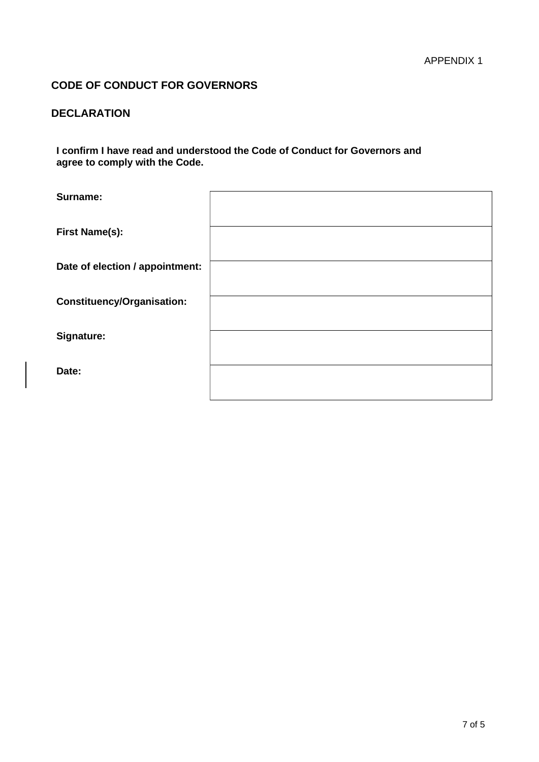# **CODE OF CONDUCT FOR GOVERNORS**

# **DECLARATION**

**I confirm I have read and understood the Code of Conduct for Governors and agree to comply with the Code.**

| Surname:                          |  |
|-----------------------------------|--|
| <b>First Name(s):</b>             |  |
| Date of election / appointment:   |  |
| <b>Constituency/Organisation:</b> |  |
| Signature:                        |  |
| Date:                             |  |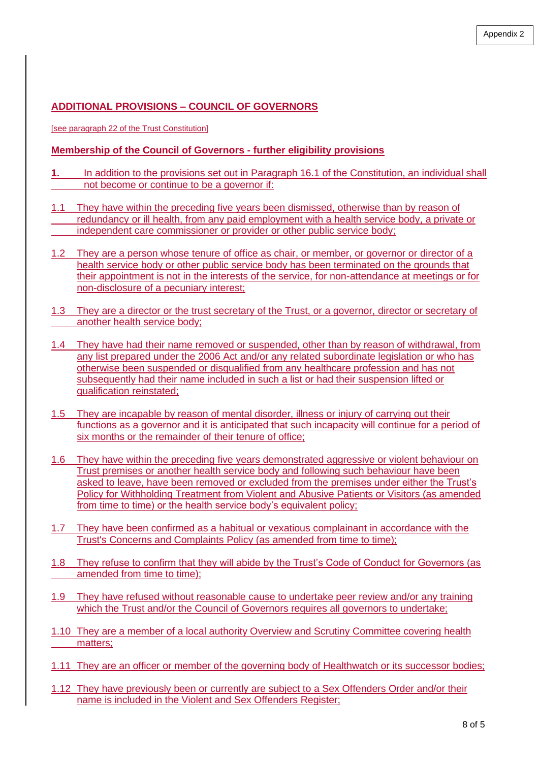# **ADDITIONAL PROVISIONS – COUNCIL OF GOVERNORS**

[see paragraph 22 of the Trust Constitution]

### **Membership of the Council of Governors - further eligibility provisions**

- **1.** In addition to the provisions set out in Paragraph 16.1 of the Constitution, an individual shall not become or continue to be a governor if:
- 1.1 They have within the preceding five years been dismissed, otherwise than by reason of redundancy or ill health, from any paid employment with a health service body, a private or independent care commissioner or provider or other public service body;
- 1.2 They are a person whose tenure of office as chair, or member, or governor or director of a health service body or other public service body has been terminated on the grounds that their appointment is not in the interests of the service, for non-attendance at meetings or for non-disclosure of a pecuniary interest;
- 1.3 They are a director or the trust secretary of the Trust, or a governor, director or secretary of another health service body;
- 1.4 They have had their name removed or suspended, other than by reason of withdrawal, from any list prepared under the 2006 Act and/or any related subordinate legislation or who has otherwise been suspended or disqualified from any healthcare profession and has not subsequently had their name included in such a list or had their suspension lifted or qualification reinstated;
- 1.5 They are incapable by reason of mental disorder, illness or injury of carrying out their functions as a governor and it is anticipated that such incapacity will continue for a period of six months or the remainder of their tenure of office;
- 1.6 They have within the preceding five years demonstrated aggressive or violent behaviour on Trust premises or another health service body and following such behaviour have been asked to leave, have been removed or excluded from the premises under either the Trust's Policy for Withholding Treatment from Violent and Abusive Patients or Visitors (as amended from time to time) or the health service body's equivalent policy;
- 1.7 They have been confirmed as a habitual or vexatious complainant in accordance with the Trust's Concerns and Complaints Policy (as amended from time to time);
- 1.8 They refuse to confirm that they will abide by the Trust's Code of Conduct for Governors (as amended from time to time);
- 1.9 They have refused without reasonable cause to undertake peer review and/or any training which the Trust and/or the Council of Governors requires all governors to undertake;
- 1.10 They are a member of a local authority Overview and Scrutiny Committee covering health matters;
- 1.11 They are an officer or member of the governing body of Healthwatch or its successor bodies;
- 1.12 They have previously been or currently are subject to a Sex Offenders Order and/or their name is included in the Violent and Sex Offenders Register;